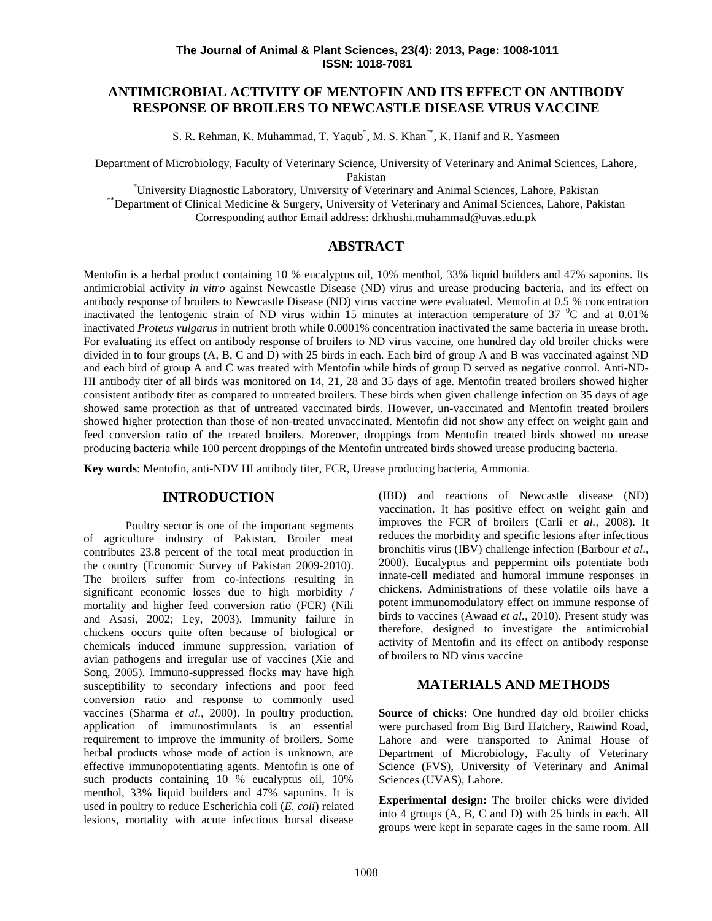# **ANTIMICROBIAL ACTIVITY OF MENTOFIN AND ITS EFFECT ON ANTIBODY RESPONSE OF BROILERS TO NEWCASTLE DISEASE VIRUS VACCINE**

S. R. Rehman, K. Muhammad, T. Yaqub<sup>\*</sup>, M. S. Khan<sup>\*\*</sup>, K. Hanif and R. Yasmeen

Department of Microbiology, Faculty of Veterinary Science, University of Veterinary and Animal Sciences, Lahore, Pakistan

\*University Diagnostic Laboratory, University of Veterinary and Animal Sciences, Lahore, Pakistan \*\*Department of Clinical Medicine & Surgery, University of Veterinary and Animal Sciences, Lahore, Pakistan Corresponding author Email address: drkhushi.muhammad@uvas.edu.pk

## **ABSTRACT**

Mentofin is a herbal product containing 10 % eucalyptus oil, 10% menthol, 33% liquid builders and 47% saponins. Its antimicrobial activity *in vitro* against Newcastle Disease (ND) virus and urease producing bacteria, and its effect on antibody response of broilers to Newcastle Disease (ND) virus vaccine were evaluated. Mentofin at 0.5 % concentration inactivated the lentogenic strain of ND virus within 15 minutes at interaction temperature of 37  $\degree$ C and at 0.01% inactivated *Proteus vulgarus* in nutrient broth while 0.0001% concentration inactivated the same bacteria in urease broth. For evaluating its effect on antibody response of broilers to ND virus vaccine, one hundred day old broiler chicks were divided in to four groups (A, B, C and D) with 25 birds in each. Each bird of group A and B was vaccinated against ND and each bird of group A and C was treated with Mentofin while birds of group D served as negative control. Anti-ND- HI antibody titer of all birds was monitored on 14, 21, 28 and 35 days of age. Mentofin treated broilers showed higher consistent antibody titer as compared to untreated broilers. These birds when given challenge infection on 35 days of age showed same protection as that of untreated vaccinated birds. However, un-vaccinated and Mentofin treated broilers showed higher protection than those of non-treated unvaccinated. Mentofin did not show any effect on weight gain and feed conversion ratio of the treated broilers. Moreover, droppings from Mentofin treated birds showed no urease producing bacteria while 100 percent droppings of the Mentofin untreated birds showed urease producing bacteria.

**Key words**: Mentofin, anti-NDV HI antibody titer, FCR, Urease producing bacteria, Ammonia.

### **INTRODUCTION**

Poultry sector is one of the important segments of agriculture industry of Pakistan. Broiler meat contributes 23.8 percent of the total meat production in the country (Economic Survey of Pakistan 2009-2010). The broilers suffer from co-infections resulting in significant economic losses due to high morbidity / mortality and higher feed conversion ratio (FCR) (Nili and Asasi, 2002; Ley, 2003). Immunity failure in chickens occurs quite often because of biological or chemicals induced immune suppression, variation of avian pathogens and irregular use of vaccines (Xie and Song, 2005). Immuno-suppressed flocks may have high susceptibility to secondary infections and poor feed conversion ratio and response to commonly used vaccines (Sharma *et al*., 2000). In poultry production, application of immunostimulants is an essential requirement to improve the immunity of broilers. Some herbal products whose mode of action is unknown, are effective immunopotentiating agents. Mentofin is one of such products containing  $10\%$  eucalyptus oil,  $10\%$ menthol, 33% liquid builders and 47% saponins. It is used in poultry to reduce Escherichia coli (*E. coli*) related lesions, mortality with acute infectious bursal disease (IBD) and reactions of Newcastle disease (ND) vaccination. It has positive effect on weight gain and improves the FCR of broilers (Carli *et al.,* 2008). It reduces the morbidity and specific lesions after infectious bronchitis virus (IBV) challenge infection (Barbour *et al*., 2008). Eucalyptus and peppermint oils potentiate both innate-cell mediated and humoral immune responses in chickens. Administrations of these volatile oils have a potent immunomodulatory effect on immune response of birds to vaccines (Awaad *et al.,* 2010). Present study was therefore, designed to investigate the antimicrobial activity of Mentofin and its effect on antibody response of broilers to ND virus vaccine

### **MATERIALS AND METHODS**

**Source of chicks:** One hundred day old broiler chicks were purchased from Big Bird Hatchery, Raiwind Road, Lahore and were transported to Animal House of Department of Microbiology, Faculty of Veterinary Science (FVS), University of Veterinary and Animal Sciences (UVAS), Lahore.

**Experimental design:** The broiler chicks were divided into 4 groups (A, B, C and D) with 25 birds in each. All groups were kept in separate cages in the same room. All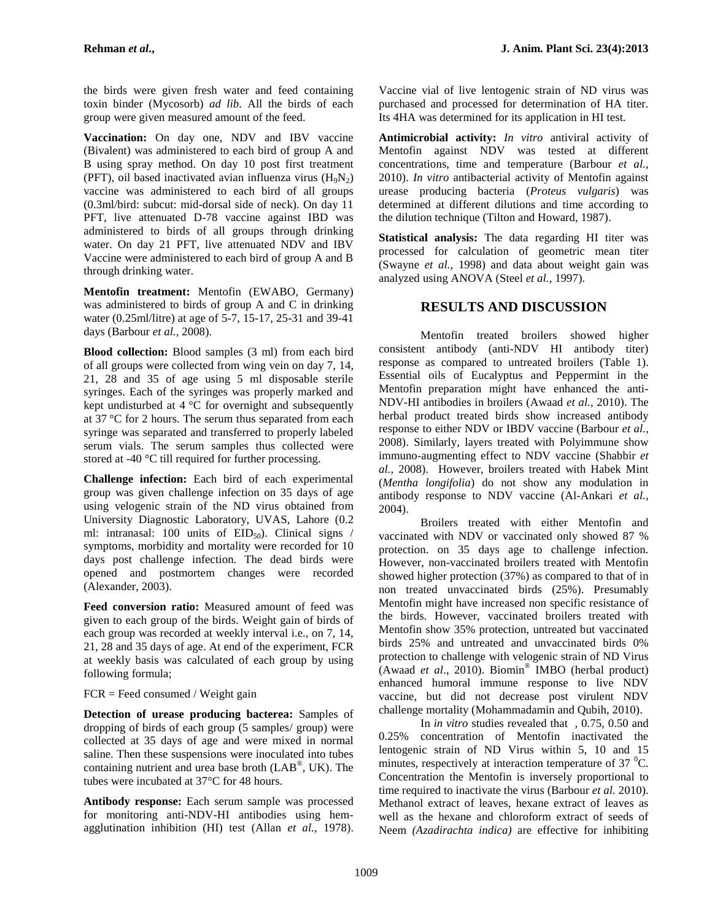the birds were given fresh water and feed containing toxin binder (Mycosorb) *ad lib*. All the birds of each group were given measured amount of the feed.

**Vaccination:** On day one, NDV and IBV vaccine (Bivalent) was administered to each bird of group A and B using spray method. On day 10 post first treatment (PFT), oil based inactivated avian influenza virus  $(H_9N_2)$ vaccine was administered to each bird of all groups (0.3ml/bird: subcut: mid-dorsal side of neck). On day 11 PFT, live attenuated D-78 vaccine against IBD was administered to birds of all groups through drinking water. On day 21 PFT, live attenuated NDV and IBV Vaccine were administered to each bird of group A and B through drinking water.

**Mentofin treatment:** Mentofin (EWABO, Germany) was administered to birds of group A and C in drinking water (0.25ml/litre) at age of 5-7, 15-17, 25-31 and 39-41 days (Barbour *et al.,* 2008).

**Blood collection:** Blood samples (3 ml) from each bird of all groups were collected from wing vein on day 7, 14, 21, 28 and 35 of age using 5 ml disposable sterile syringes. Each of the syringes was properly marked and kept undisturbed at 4 °C for overnight and subsequently at 37 °C for 2 hours. The serum thus separated from each syringe was separated and transferred to properly labeled serum vials. The serum samples thus collected were stored at -40 °C till required for further processing.

**Challenge infection:** Each bird of each experimental group was given challenge infection on 35 days of age using velogenic strain of the ND virus obtained from University Diagnostic Laboratory, UVAS, Lahore (0.2 ml: intranasal: 100 units of  $EID_{50}$ ). Clinical signs / symptoms, morbidity and mortality were recorded for 10 days post challenge infection. The dead birds were opened and postmortem changes were recorded (Alexander, 2003).

**Feed conversion ratio:** Measured amount of feed was given to each group of the birds. Weight gain of birds of each group was recorded at weekly interval i.e., on 7, 14, 21, 28 and 35 days of age. At end of the experiment, FCR at weekly basis was calculated of each group by using following formula;

### $FCR = Feed consumed / Weight gain$

**Detection of urease producing bacterea:** Samples of dropping of birds of each group (5 samples/ group) were collected at 35 days of age and were mixed in normal saline. Then these suspensions were inoculated into tubes containing nutrient and urea base broth (LAB<sup>®</sup>, UK). The  $\frac{m}{\alpha}$ tubes were incubated at 37°C for 48 hours.

**Antibody response:** Each serum sample was processed for monitoring anti-NDV-HI antibodies using hem agglutination inhibition (HI) test (Allan *et al.,* 1978). Vaccine vial of live lentogenic strain of ND virus was purchased and processed for determination of HA titer. Its 4HA was determined for its application in HI test.

**Antimicrobial activity:** *In vitro* antiviral activity of Mentofin against NDV was tested at different concentrations, time and temperature (Barbour *et al.,* 2010). *In vitro* antibacterial activity of Mentofin against urease producing bacteria (*Proteus vulgaris*) was determined at different dilutions and time according to the dilution technique (Tilton and Howard, 1987).

**Statistical analysis:** The data regarding HI titer was processed for calculation of geometric mean titer (Swayne *et al.,* 1998) and data about weight gain was analyzed using ANOVA (Steel *et al.,* 1997).

# **RESULTS AND DISCUSSION**

Mentofin treated broilers showed higher consistent antibody (anti-NDV HI antibody titer) response as compared to untreated broilers (Table 1). Essential oils of Eucalyptus and Peppermint in the Mentofin preparation might have enhanced the anti- NDV-HI antibodies in broilers (Awaad *et al.,* 2010). The herbal product treated birds show increased antibody response to either NDV or IBDV vaccine (Barbour *et al.,* 2008). Similarly, layers treated with Polyimmune show immuno-augmenting effect to NDV vaccine (Shabbir *et al.,* 2008). However, broilers treated with Habek Mint (*Mentha longifolia*) do not show any modulation in antibody response to NDV vaccine (Al-Ankari *et al.,* 2004).

Broilers treated with either Mentofin and vaccinated with NDV or vaccinated only showed 87 % protection. on 35 days age to challenge infection. However, non-vaccinated broilers treated with Mentofin showed higher protection (37%) as compared to that of in non treated unvaccinated birds (25%). Presumably Mentofin might have increased non specific resistance of the birds. However, vaccinated broilers treated with Mentofin show 35% protection, untreated but vaccinated birds 25% and untreated and unvaccinated birds 0% protection to challenge with velogenic strain of ND Virus (Awaad *et al*., 2010). Biomin® IMBO (herbal product) enhanced humoral immune response to live NDV vaccine, but did not decrease post virulent NDV challenge mortality (Mohammadamin and Qubih, 2010).

In *in vitro* studies revealed that , 0.75, 0.50 and 0.25% concentration of Mentofin inactivated the lentogenic strain of ND Virus within 5, 10 and 15 minutes, respectively at interaction temperature of  $37 \text{ }^0C$ . Concentration the Mentofin is inversely proportional to time required to inactivate the virus (Barbour *et al.* 2010). Methanol extract of leaves, hexane extract of leaves as well as the hexane and chloroform extract of seeds of Neem *(Azadirachta indica)* are effective for inhibiting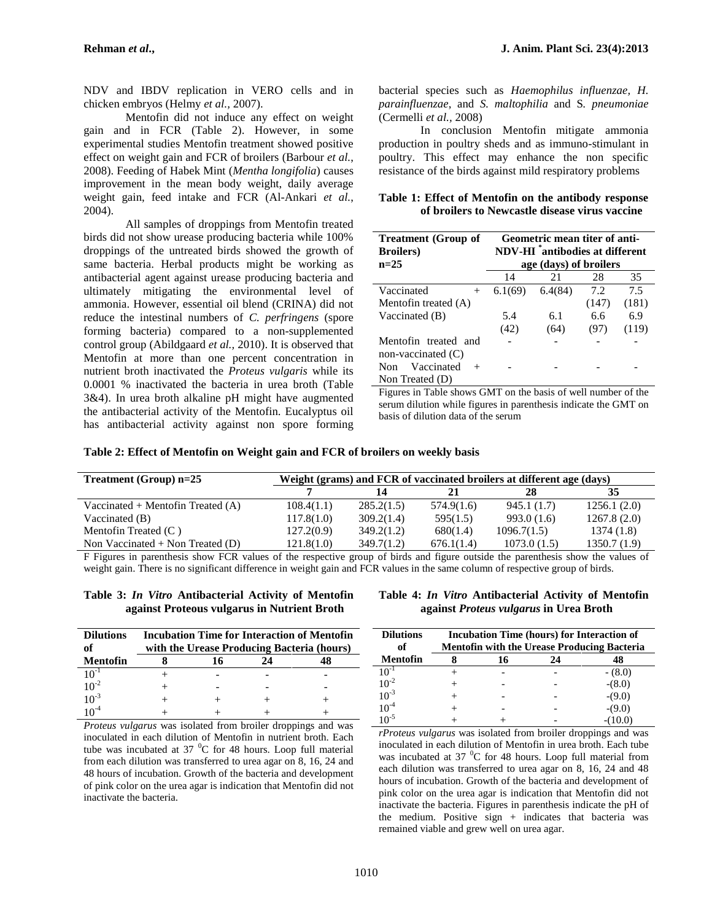NDV and IBDV replication in VERO cells and in chicken embryos (Helmy *et al.,* 2007).

Mentofin did not induce any effect on weight gain and in FCR (Table 2). However, in some experimental studies Mentofin treatment showed positive effect on weight gain and FCR of broilers (Barbour *et al.*, 2008). Feeding of Habek Mint (*Mentha longifolia*) causes improvement in the mean body weight, daily average weight gain, feed intake and FCR (Al-Ankari *et al.*, 2004).

All samples of droppings from Mentofin treated birds did not show urease producing bacteria while 100% droppings of the untreated birds showed the growth of same bacteria. Herbal products might be working as antibacterial agent against urease producing bacteria and ultimately mitigating the environmental level of ammonia. However, essential oil blend (CRINA) did not reduce the intestinal numbers of *C. perfringens* (spore forming bacteria) compared to a non-supplemented control group (Abildgaard *et al.,* 2010). It is observed that Mentofin at more than one percent concentration in nutrient broth inactivated the *Proteus vulgaris* while its 0.0001 % inactivated the bacteria in urea broth (Table 3&4). In urea broth alkaline pH might have augmented the antibacterial activity of the Mentofin. Eucalyptus oil has antibacterial activity against non spore forming

bacterial species such as *Haemophilus influenzae, H. parainfluenzae*, and *S. maltophilia* and S*. pneumoniae* (Cermelli *et al.,* 2008)

In conclusion Mentofin mitigate ammonia production in poultry sheds and as immuno-stimulant in poultry. This effect may enhance the non specific resistance of the birds against mild respiratory problems

**Table 1: Effect of Mentofin on the antibody response of broilers to Newcastle disease virus vaccine**

| <b>Treatment</b> (Group of<br><b>Broilers</b> ) |                        | Geometric mean titer of anti-<br>NDV-HI <sup>*</sup> antibodies at different |       |       |  |
|-------------------------------------------------|------------------------|------------------------------------------------------------------------------|-------|-------|--|
| $n=25$                                          | age (days) of broilers |                                                                              |       |       |  |
|                                                 | 14                     | 21                                                                           | 28    | 35    |  |
| Vaccinated<br>$^{+}$                            | 6.1(69)                | 6.4(84)                                                                      | 7.2   | 7.5   |  |
| Mentofin treated (A)                            |                        |                                                                              | (147) | (181) |  |
| Vaccinated (B)                                  | 5.4                    | 6.1                                                                          | 6.6   | 6.9   |  |
|                                                 | (42)                   | (64)                                                                         | (97)  | (119) |  |
| Mentofin treated and                            |                        |                                                                              |       |       |  |
| non-vaccinated $(C)$                            |                        |                                                                              |       |       |  |
| Vaccinated<br><b>Non</b>                        |                        |                                                                              |       |       |  |
| Non Treated (D)                                 |                        |                                                                              |       |       |  |

Figures in Table shows GMT on the basis of well number of the serum dilution while figures in parenthesis indicate the GMT on basis of dilution data of the serum

| Table 2: Effect of Mentofin on Weight gain and FCR of broilers on weekly basis |
|--------------------------------------------------------------------------------|
|--------------------------------------------------------------------------------|

| <b>Treatment</b> (Group) $n=25$     | Weight (grams) and FCR of vaccinated broilers at different age (days) |            |            |             |             |
|-------------------------------------|-----------------------------------------------------------------------|------------|------------|-------------|-------------|
|                                     |                                                                       | 14         |            | 28          | 35          |
| Vaccinated + Mentofin Treated $(A)$ | 108.4(1.1)                                                            | 285.2(1.5) | 574.9(1.6) | 945.1 (1.7) | 1256.1(2.0) |
| Vaccinated $(B)$                    | 117.8(1.0)                                                            | 309.2(1.4) | 595(1.5)   | 993.0(1.6)  | 1267.8(2.0) |
| Mentofin Treated $(C)$              | 127.2(0.9)                                                            | 349.2(1.2) | 680(1.4)   | 1096.7(1.5) | 1374 (1.8)  |
| Non Vaccinated $+$ Non Treated (D)  | 121.8(1.0)                                                            | 349.7(1.2) | 676.1(1.4) | 1073.0(1.5) | 1350.7(1.9) |

F Figures in parenthesis show FCR values of the respective group of birds and figure outside the parenthesis show the values of weight gain. There is no significant difference in weight gain and FCR values in the same column of respective group of birds.

|  |  | Table 3: In Vitro Antibacterial Activity of Mentofin |  | Tabl |
|--|--|------------------------------------------------------|--|------|
|  |  | against Proteous vulgarus in Nutrient Broth          |  |      |

| <b>Dilutions</b><br>of | <b>Incubation Time for Interaction of Mentofin</b><br>with the Urease Producing Bacteria (hours) |  |    |    |           |  |
|------------------------|--------------------------------------------------------------------------------------------------|--|----|----|-----------|--|
| Mentofin               |                                                                                                  |  | 24 | 48 | Meı       |  |
| $10^{-1}$              |                                                                                                  |  |    |    | $10^{-1}$ |  |
| $10^{-2}$              |                                                                                                  |  |    |    | $10^{-2}$ |  |
| $10^{-3}$              |                                                                                                  |  |    |    | $10^{-3}$ |  |
|                        |                                                                                                  |  |    |    | $-6 - 5$  |  |

*Proteus vulgarus* was isolated from broiler droppings and was inoculated in each dilution of Mentofin in nutrient broth. Each tube was incubated at  $37\text{ °C}$  for 48 hours. Loop full material from each dilution was transferred to urea agar on 8, 16, 24 and 48 hours of incubation. Growth of the bacteria and development of pink color on the urea agar is indication that Mentofin did not inactivate the bacteria.

**Table 4:** *In Vitro* **Antibacterial Activity of Mentofin against** *Proteus vulgarus* **in Urea Broth**

| <b>Dilutions</b><br>of | <b>Incubation Time (hours) for Interaction of</b><br><b>Mentofin with the Urease Producing Bacteria</b> |    |    |           |  |  |
|------------------------|---------------------------------------------------------------------------------------------------------|----|----|-----------|--|--|
| Mentofin               |                                                                                                         | 16 | 24 |           |  |  |
| $10^{-1}$              |                                                                                                         |    |    | $- (8.0)$ |  |  |
| $10^{-2}$              |                                                                                                         |    |    | $-(8.0)$  |  |  |
| $10^{-3}$              |                                                                                                         |    |    | $-(9.0)$  |  |  |
| $10^{-4}$              |                                                                                                         |    |    | $-(9.0)$  |  |  |
| $10^{-5}$              |                                                                                                         |    |    | -010.0    |  |  |

*rProteus vulgarus* was isolated from broiler droppings and was inoculated in each dilution of Mentofin in urea broth. Each tube was incubated at  $37\text{ °C}$  for 48 hours. Loop full material from each dilution was transferred to urea agar on 8, 16, 24 and 48 hours of incubation. Growth of the bacteria and development of pink color on the urea agar is indication that Mentofin did not inactivate the bacteria. Figures in parenthesis indicate the pH of the medium. Positive sign + indicates that bacteria was remained viable and grew well on urea agar.